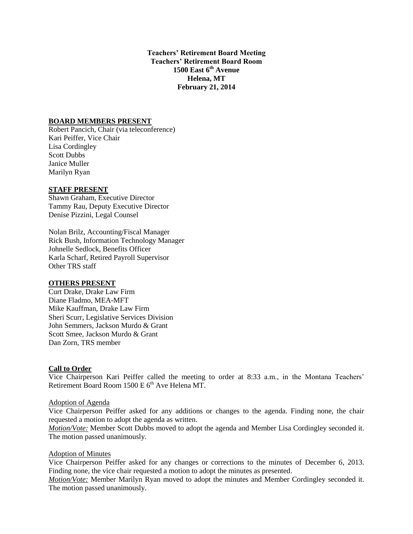**Teachers' Retirement Board Meeting Teachers' Retirement Board Room 1500 East 6th Avenue Helena, MT February 21, 2014**

## **BOARD MEMBERS PRESENT**

Robert Pancich, Chair (via teleconference) Kari Peiffer, Vice Chair Lisa Cordingley Scott Dubbs Janice Muller Marilyn Ryan

## **STAFF PRESENT**

Shawn Graham, Executive Director Tammy Rau, Deputy Executive Director Denise Pizzini, Legal Counsel

Nolan Brilz, Accounting/Fiscal Manager Rick Bush, Information Technology Manager Johnelle Sedlock, Benefits Officer Karla Scharf, Retired Payroll Supervisor Other TRS staff

#### **OTHERS PRESENT**

Curt Drake, Drake Law Firm Diane Fladmo, MEA-MFT Mike Kauffman, Drake Law Firm Sheri Scurr, Legislative Services Division John Semmers, Jackson Murdo & Grant Scott Smee, Jackson Murdo & Grant Dan Zorn, TRS member

## **Call to Order**

Vice Chairperson Kari Peiffer called the meeting to order at 8:33 a.m., in the Montana Teachers' Retirement Board Room 1500 E  $6<sup>th</sup>$  Ave Helena MT.

#### Adoption of Agenda

Vice Chairperson Peiffer asked for any additions or changes to the agenda. Finding none, the chair requested a motion to adopt the agenda as written.

*Motion/Vote:* Member Scott Dubbs moved to adopt the agenda and Member Lisa Cordingley seconded it. The motion passed unanimously.

### Adoption of Minutes

Vice Chairperson Peiffer asked for any changes or corrections to the minutes of December 6, 2013. Finding none, the vice chair requested a motion to adopt the minutes as presented.

*Motion/Vote:* Member Marilyn Ryan moved to adopt the minutes and Member Cordingley seconded it. The motion passed unanimously.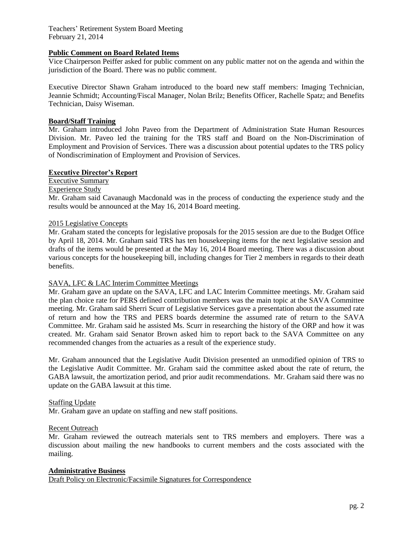# **Public Comment on Board Related Items**

Vice Chairperson Peiffer asked for public comment on any public matter not on the agenda and within the jurisdiction of the Board. There was no public comment.

Executive Director Shawn Graham introduced to the board new staff members: Imaging Technician, Jeannie Schmidt; Accounting/Fiscal Manager, Nolan Brilz; Benefits Officer, Rachelle Spatz; and Benefits Technician, Daisy Wiseman.

### **Board/Staff Training**

Mr. Graham introduced John Paveo from the Department of Administration State Human Resources Division. Mr. Paveo led the training for the TRS staff and Board on the Non-Discrimination of Employment and Provision of Services. There was a discussion about potential updates to the TRS policy of Nondiscrimination of Employment and Provision of Services.

#### **Executive Director's Report**

Executive Summary

#### Experience Study

Mr. Graham said Cavanaugh Macdonald was in the process of conducting the experience study and the results would be announced at the May 16, 2014 Board meeting.

### 2015 Legislative Concepts

Mr. Graham stated the concepts for legislative proposals for the 2015 session are due to the Budget Office by April 18, 2014. Mr. Graham said TRS has ten housekeeping items for the next legislative session and drafts of the items would be presented at the May 16, 2014 Board meeting. There was a discussion about various concepts for the housekeeping bill, including changes for Tier 2 members in regards to their death benefits.

#### SAVA, LFC & LAC Interim Committee Meetings

Mr. Graham gave an update on the SAVA, LFC and LAC Interim Committee meetings. Mr. Graham said the plan choice rate for PERS defined contribution members was the main topic at the SAVA Committee meeting. Mr. Graham said Sherri Scurr of Legislative Services gave a presentation about the assumed rate of return and how the TRS and PERS boards determine the assumed rate of return to the SAVA Committee. Mr. Graham said he assisted Ms. Scurr in researching the history of the ORP and how it was created. Mr. Graham said Senator Brown asked him to report back to the SAVA Committee on any recommended changes from the actuaries as a result of the experience study.

Mr. Graham announced that the Legislative Audit Division presented an unmodified opinion of TRS to the Legislative Audit Committee. Mr. Graham said the committee asked about the rate of return, the GABA lawsuit, the amortization period, and prior audit recommendations. Mr. Graham said there was no update on the GABA lawsuit at this time.

#### Staffing Update

Mr. Graham gave an update on staffing and new staff positions.

#### Recent Outreach

Mr. Graham reviewed the outreach materials sent to TRS members and employers. There was a discussion about mailing the new handbooks to current members and the costs associated with the mailing.

## **Administrative Business**

Draft Policy on Electronic/Facsimile Signatures for Correspondence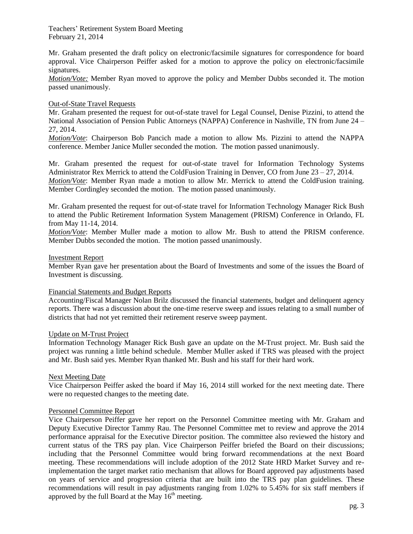Mr. Graham presented the draft policy on electronic/facsimile signatures for correspondence for board approval. Vice Chairperson Peiffer asked for a motion to approve the policy on electronic/facsimile signatures.

*Motion/Vote:* Member Ryan moved to approve the policy and Member Dubbs seconded it. The motion passed unanimously.

## Out-of-State Travel Requests

Mr. Graham presented the request for out-of-state travel for Legal Counsel, Denise Pizzini, to attend the National Association of Pension Public Attorneys (NAPPA) Conference in Nashville, TN from June 24 – 27, 2014.

*Motion/Vote*: Chairperson Bob Pancich made a motion to allow Ms. Pizzini to attend the NAPPA conference. Member Janice Muller seconded the motion. The motion passed unanimously.

Mr. Graham presented the request for out-of-state travel for Information Technology Systems Administrator Rex Merrick to attend the ColdFusion Training in Denver, CO from June  $23 - 27$ , 2014. *Motion/Vote*: Member Ryan made a motion to allow Mr. Merrick to attend the ColdFusion training. Member Cordingley seconded the motion. The motion passed unanimously.

Mr. Graham presented the request for out-of-state travel for Information Technology Manager Rick Bush to attend the Public Retirement Information System Management (PRISM) Conference in Orlando, FL from May 11-14, 2014.

*Motion/Vote*: Member Muller made a motion to allow Mr. Bush to attend the PRISM conference. Member Dubbs seconded the motion. The motion passed unanimously.

### Investment Report

Member Ryan gave her presentation about the Board of Investments and some of the issues the Board of Investment is discussing.

Financial Statements and Budget Reports

Accounting/Fiscal Manager Nolan Brilz discussed the financial statements, budget and delinquent agency reports. There was a discussion about the one-time reserve sweep and issues relating to a small number of districts that had not yet remitted their retirement reserve sweep payment.

#### Update on M-Trust Project

Information Technology Manager Rick Bush gave an update on the M-Trust project. Mr. Bush said the project was running a little behind schedule. Member Muller asked if TRS was pleased with the project and Mr. Bush said yes. Member Ryan thanked Mr. Bush and his staff for their hard work.

#### Next Meeting Date

Vice Chairperson Peiffer asked the board if May 16, 2014 still worked for the next meeting date. There were no requested changes to the meeting date.

### Personnel Committee Report

Vice Chairperson Peiffer gave her report on the Personnel Committee meeting with Mr. Graham and Deputy Executive Director Tammy Rau. The Personnel Committee met to review and approve the 2014 performance appraisal for the Executive Director position. The committee also reviewed the history and current status of the TRS pay plan. Vice Chairperson Peiffer briefed the Board on their discussions; including that the Personnel Committee would bring forward recommendations at the next Board meeting. These recommendations will include adoption of the 2012 State HRD Market Survey and reimplementation the target market ratio mechanism that allows for Board approved pay adjustments based on years of service and progression criteria that are built into the TRS pay plan guidelines. These recommendations will result in pay adjustments ranging from 1.02% to 5.45% for six staff members if approved by the full Board at the May  $16<sup>th</sup>$  meeting.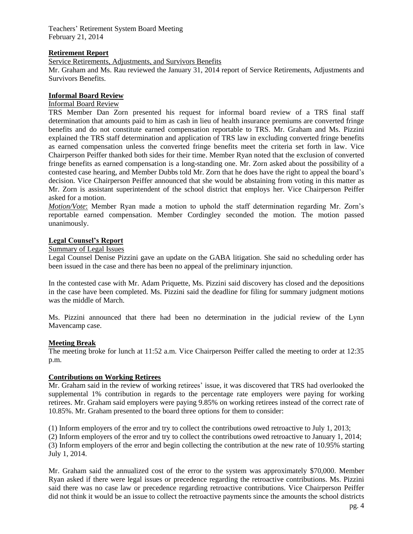## **Retirement Report**

Service Retirements, Adjustments, and Survivors Benefits

Mr. Graham and Ms. Rau reviewed the January 31, 2014 report of Service Retirements, Adjustments and Survivors Benefits.

## **Informal Board Review**

# Informal Board Review

TRS Member Dan Zorn presented his request for informal board review of a TRS final staff determination that amounts paid to him as cash in lieu of health insurance premiums are converted fringe benefits and do not constitute earned compensation reportable to TRS. Mr. Graham and Ms. Pizzini explained the TRS staff determination and application of TRS law in excluding converted fringe benefits as earned compensation unless the converted fringe benefits meet the criteria set forth in law. Vice Chairperson Peiffer thanked both sides for their time. Member Ryan noted that the exclusion of converted fringe benefits as earned compensation is a long-standing one. Mr. Zorn asked about the possibility of a contested case hearing, and Member Dubbs told Mr. Zorn that he does have the right to appeal the board's decision. Vice Chairperson Peiffer announced that she would be abstaining from voting in this matter as Mr. Zorn is assistant superintendent of the school district that employs her. Vice Chairperson Peiffer asked for a motion.

*Motion/Vote*: Member Ryan made a motion to uphold the staff determination regarding Mr. Zorn's reportable earned compensation. Member Cordingley seconded the motion. The motion passed unanimously.

## **Legal Counsel's Report**

## Summary of Legal Issues

Legal Counsel Denise Pizzini gave an update on the GABA litigation. She said no scheduling order has been issued in the case and there has been no appeal of the preliminary injunction.

In the contested case with Mr. Adam Priquette, Ms. Pizzini said discovery has closed and the depositions in the case have been completed. Ms. Pizzini said the deadline for filing for summary judgment motions was the middle of March.

Ms. Pizzini announced that there had been no determination in the judicial review of the Lynn Mavencamp case.

## **Meeting Break**

The meeting broke for lunch at 11:52 a.m. Vice Chairperson Peiffer called the meeting to order at 12:35 p.m.

#### **Contributions on Working Retirees**

Mr. Graham said in the review of working retirees' issue, it was discovered that TRS had overlooked the supplemental 1% contribution in regards to the percentage rate employers were paying for working retirees. Mr. Graham said employers were paying 9.85% on working retirees instead of the correct rate of 10.85%. Mr. Graham presented to the board three options for them to consider:

(1) Inform employers of the error and try to collect the contributions owed retroactive to July 1, 2013;

(2) Inform employers of the error and try to collect the contributions owed retroactive to January 1, 2014; (3) Inform employers of the error and begin collecting the contribution at the new rate of 10.95% starting July 1, 2014.

Mr. Graham said the annualized cost of the error to the system was approximately \$70,000. Member Ryan asked if there were legal issues or precedence regarding the retroactive contributions. Ms. Pizzini said there was no case law or precedence regarding retroactive contributions. Vice Chairperson Peiffer did not think it would be an issue to collect the retroactive payments since the amounts the school districts